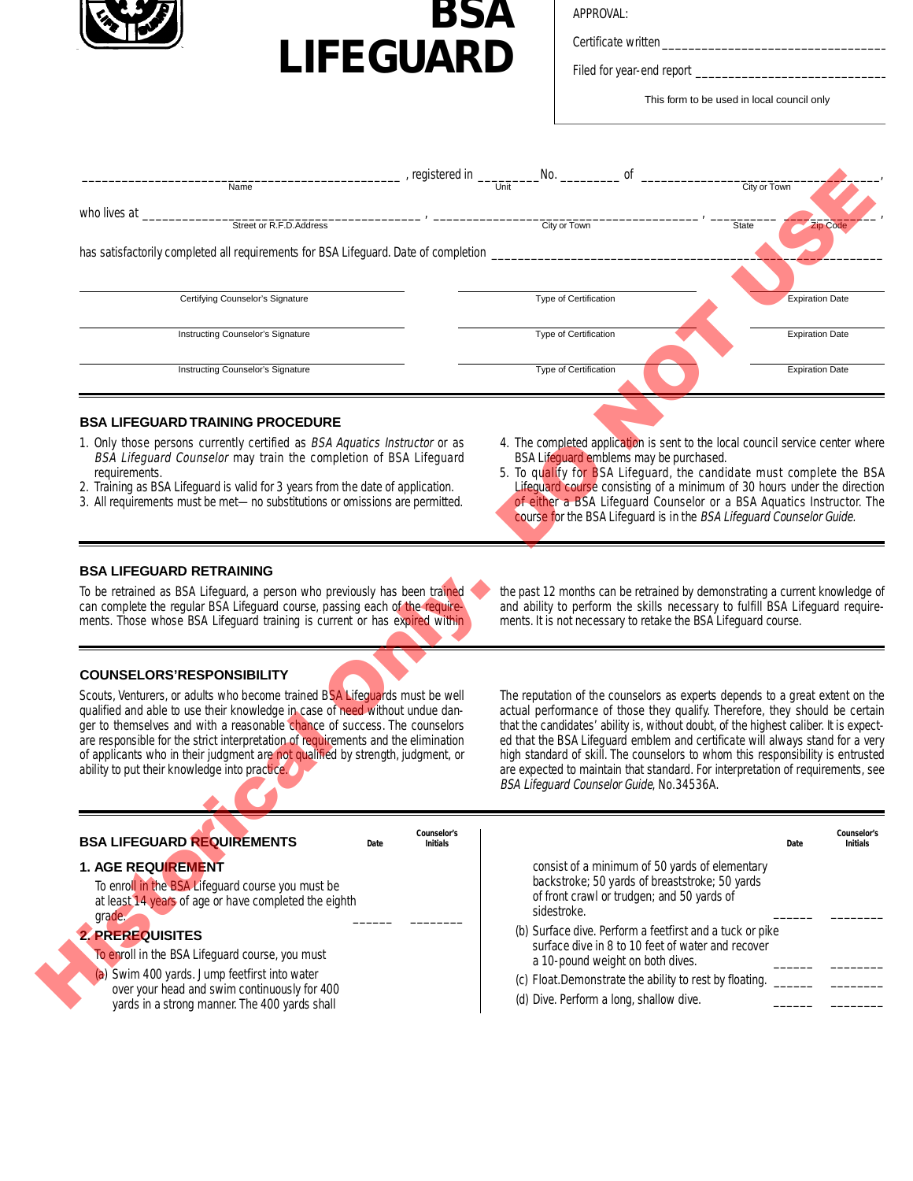



Certificate written

Filed for year-end report \_

This form to be used in local council only

| , registered in _                                                                                                                                               | No.<br><sub>of</sub>                                                                                                                                         |                                                                                                                                                   |
|-----------------------------------------------------------------------------------------------------------------------------------------------------------------|--------------------------------------------------------------------------------------------------------------------------------------------------------------|---------------------------------------------------------------------------------------------------------------------------------------------------|
| Name                                                                                                                                                            |                                                                                                                                                              | City or Town                                                                                                                                      |
| who lives at _                                                                                                                                                  |                                                                                                                                                              |                                                                                                                                                   |
| Street or R.F.D.Address                                                                                                                                         | City or Town                                                                                                                                                 | <b>Zip Code</b><br><b>State</b>                                                                                                                   |
| has satisfactorily completed all requirements for BSA Lifeguard. Date of completion _                                                                           |                                                                                                                                                              |                                                                                                                                                   |
|                                                                                                                                                                 |                                                                                                                                                              |                                                                                                                                                   |
|                                                                                                                                                                 |                                                                                                                                                              |                                                                                                                                                   |
| Certifying Counselor's Signature                                                                                                                                | Type of Certification                                                                                                                                        | <b>Expiration Date</b>                                                                                                                            |
|                                                                                                                                                                 |                                                                                                                                                              |                                                                                                                                                   |
| Instructing Counselor's Signature                                                                                                                               | <b>Type of Certification</b>                                                                                                                                 | <b>Expiration Date</b>                                                                                                                            |
|                                                                                                                                                                 |                                                                                                                                                              |                                                                                                                                                   |
| Instructing Counselor's Signature                                                                                                                               | <b>Type of Certification</b>                                                                                                                                 | <b>Expiration Date</b>                                                                                                                            |
|                                                                                                                                                                 |                                                                                                                                                              |                                                                                                                                                   |
|                                                                                                                                                                 |                                                                                                                                                              |                                                                                                                                                   |
| <b>BSA LIFEGUARD TRAINING PROCEDURE</b>                                                                                                                         |                                                                                                                                                              |                                                                                                                                                   |
| 1. Only those persons currently certified as BSA Aquatics Instructor or as                                                                                      |                                                                                                                                                              | 4. The completed application is sent to the local council service center where                                                                    |
| BSA Lifeguard Counselor may train the completion of BSA Lifeguard                                                                                               | BSA Lifequard emblems may be purchased.                                                                                                                      |                                                                                                                                                   |
| requirements.                                                                                                                                                   |                                                                                                                                                              | 5. To qualify for BSA Lifeguard, the candidate must complete the BSA                                                                              |
| 2. Training as BSA Lifeguard is valid for 3 years from the date of application.<br>3. All requirements must be met-no substitutions or omissions are permitted. |                                                                                                                                                              | Lifeguard course consisting of a minimum of 30 hours under the direction<br>of either a BSA Lifeguard Counselor or a BSA Aquatics Instructor. The |
|                                                                                                                                                                 |                                                                                                                                                              | course for the BSA Lifeguard is in the BSA Lifeguard Counselor Guide.                                                                             |
|                                                                                                                                                                 |                                                                                                                                                              |                                                                                                                                                   |
|                                                                                                                                                                 |                                                                                                                                                              |                                                                                                                                                   |
| <b>BSA LIFEGUARD RETRAINING</b>                                                                                                                                 |                                                                                                                                                              |                                                                                                                                                   |
| To be retrained as BSA Lifeguard, a person who previously has been trained                                                                                      |                                                                                                                                                              |                                                                                                                                                   |
| can complete the regular BSA Lifeguard course, passing each of the require-                                                                                     | the past 12 months can be retrained by demonstrating a current knowledge of<br>and ability to perform the skills necessary to fulfill BSA Lifeguard require- |                                                                                                                                                   |
| ments. Those whose BSA Lifeguard training is current or has expired within                                                                                      | ments. It is not necessary to retake the BSA Lifeguard course.                                                                                               |                                                                                                                                                   |
|                                                                                                                                                                 |                                                                                                                                                              |                                                                                                                                                   |
|                                                                                                                                                                 |                                                                                                                                                              |                                                                                                                                                   |
| <b>COUNSELORS'RESPONSIBILITY</b>                                                                                                                                |                                                                                                                                                              |                                                                                                                                                   |
| Scouts, Venturers, or adults who become trained BSA Lifequards must be well                                                                                     |                                                                                                                                                              | The reputation of the counselors as experts depends to a great extent on the                                                                      |
| qualified and able to use their knowledge in case of need without undue dan-                                                                                    |                                                                                                                                                              | actual performance of those they qualify. Therefore, they should be certain                                                                       |
| get to themselves and with a reasonable shapes of success. The seureslars                                                                                       |                                                                                                                                                              | that the condidator' obility is without doubt, of the bigheet caliber. It is evnest                                                               |

## **BSA LIFEGUARD TRAINING PROCEDURE**

- 1. Only those persons currently certified as BSA Aquatics Instructor or as BSA Lifeguard Counselor may train the completion of BSA Lifeguard requirements.
- 2. Training as BSA Lifeguard is valid for 3 years from the date of application.
- 3 . All requirements must be met—no substitutions or omissions are permitted.
- 4. The completed application is sent to the local council service center where BSA Lifeguard emblems may be purchased.
- 5. To qualify for BSA Lifeguard, the candidate must complete the BSA Lifeguard course consisting of a minimum of 30 hours under the direction of either a BSA Lifeguard Counselor or a BSA Aquatics Instructor. The course for the BSA Lifeguard is in the BSA Lifeguard Counselor Guide.

## **BSA LIFEGUARD RETRAINING**

## **C O U N S E L O R S 'R E S P O N S I B I L I T Y**

Scouts, Venturers, or adults who become trained BSA Lifeguards must be well qualified and able to use their knowledge in case of need without undue danger to themselves and with a reasonable chance of success. The counselors are responsible for the strict interpretation of requirements and the elimination of applicants who in their judgment are not qualified by strength, judgment, or ability to put their knowledge into practice.

The reputation of the counselors as experts depends to a great extent on the actual performance of those they qualify. Therefore, they should be certain that the candidates' ability is, without doubt, of the highest caliber. It is expected that the BSA Lifeguard emblem and certificate will always stand for a very high standard of skill. The counselors to whom this responsibility is entrusted are expected to maintain that standard. For interpretation of requirements, see BSA Lifeguard Counselor Guide, No.34536A.

| qualitied and able to use their Knowledge in case of heed without undue dail-<br>ger to themselves and with a reasonable chance of success. The counselors<br>are responsible for the strict interpretation of requirements and the elimination<br>of applicants who in their judgment are not qualified by strength, judgment, or<br>ability to put their knowledge into practice. | actual performance of those they guality. Therefore, they should be certain<br>that the candidates' ability is, without doubt, of the highest caliber. It is expect-<br>ed that the BSA Lifeguard emblem and certificate will always stand for a very<br>high standard of skill. The counselors to whom this responsibility is entrusted<br>are expected to maintain that standard. For interpretation of requirements, see<br>BSA Lifeguard Counselor Guide, No.34536A. |  |  |
|-------------------------------------------------------------------------------------------------------------------------------------------------------------------------------------------------------------------------------------------------------------------------------------------------------------------------------------------------------------------------------------|--------------------------------------------------------------------------------------------------------------------------------------------------------------------------------------------------------------------------------------------------------------------------------------------------------------------------------------------------------------------------------------------------------------------------------------------------------------------------|--|--|
| Counselor's<br><b>BSA LIFEGUARD REQUIREMENTS</b><br><b>Initials</b><br>Date                                                                                                                                                                                                                                                                                                         | Counselor's<br><b>Initials</b><br>Date                                                                                                                                                                                                                                                                                                                                                                                                                                   |  |  |
| <b>1. AGE REQUIREMENT</b><br>To enroll in the BSA Lifeguard course you must be<br>at least 14 years of age or have completed the eighth<br>grade.                                                                                                                                                                                                                                   | consist of a minimum of 50 yards of elementary<br>backstroke; 50 yards of breaststroke; 50 yards<br>of front crawl or trudgen; and 50 yards of<br>sidestroke.                                                                                                                                                                                                                                                                                                            |  |  |
| <b>2. PREREQUISITES</b><br>To enroll in the BSA Lifeguard course, you must<br>(a) Swim 400 yards. Jump feetfirst into water<br>over your head and swim continuously for 400<br>yards in a strong manner. The 400 yards shall                                                                                                                                                        | (b) Surface dive. Perform a feetfirst and a tuck or pike<br>surface dive in 8 to 10 feet of water and recover<br>a 10-pound weight on both dives.                                                                                                                                                                                                                                                                                                                        |  |  |
|                                                                                                                                                                                                                                                                                                                                                                                     | (c) Float.Demonstrate the ability to rest by floating.<br>(d) Dive. Perform a long, shallow dive.                                                                                                                                                                                                                                                                                                                                                                        |  |  |